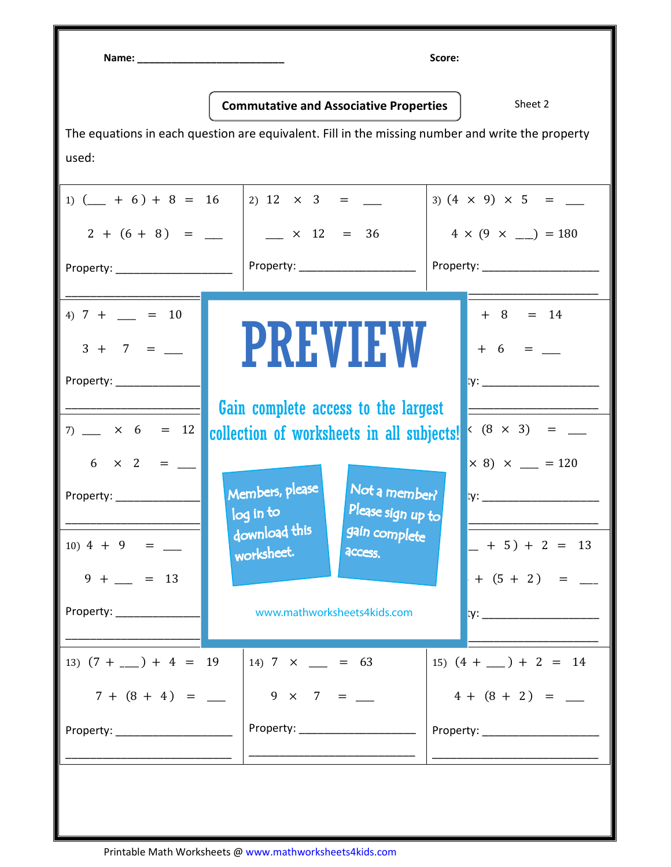Name: \_\_\_\_\_\_\_\_\_\_\_\_\_\_\_\_\_\_\_\_\_\_\_\_\_\_ Score:

Commutative and Associative Properties | Sheet 2

The equations in each question are equivalent. Fill in the missing number and write the property used:

1)  $(\underline{\hspace{1cm}} + 6) + 8 = 16$  2) 12  $\times$  3 =  $\underline{\hspace{1cm}}$  2 + 6 + 8 ) = \_\_\_\_ Property: \_\_\_\_\_\_\_\_\_\_\_\_\_\_\_\_\_\_\_ \_\_\_\_\_\_\_\_\_\_\_\_\_\_\_\_\_\_\_\_\_\_\_\_\_\_\_  $\_\,\times$  12 = 36 Property: \_\_\_\_\_\_\_\_\_\_\_\_\_\_\_\_\_\_\_ \_\_\_\_\_\_\_\_\_\_\_\_\_\_\_\_\_\_\_\_\_\_\_\_\_\_\_  $(3) (4 \times 9) \times 5 =$  $4 \times (9 \times \_ ) = 180$ Property: \_\_\_\_\_\_\_\_\_\_\_\_\_\_\_\_\_\_\_  $\overline{\phantom{a}}$  ,  $\overline{\phantom{a}}$  ,  $\overline{\phantom{a}}$  ,  $\overline{\phantom{a}}$  ,  $\overline{\phantom{a}}$  ,  $\overline{\phantom{a}}$  ,  $\overline{\phantom{a}}$  ,  $\overline{\phantom{a}}$  ,  $\overline{\phantom{a}}$  ,  $\overline{\phantom{a}}$  ,  $\overline{\phantom{a}}$  ,  $\overline{\phantom{a}}$  ,  $\overline{\phantom{a}}$  ,  $\overline{\phantom{a}}$  ,  $\overline{\phantom{a}}$  ,  $\overline{\phantom{a}}$ 4)  $7 + \_ = 10$  $3 + 7 = \_$ Property: \_\_\_\_\_\_\_\_\_\_\_\_\_\_\_\_\_\_\_ \_\_\_\_\_\_\_\_\_\_\_\_\_\_\_\_\_\_\_\_\_\_\_\_\_\_\_ \_\_\_\_\_\_\_\_\_\_\_\_\_\_\_\_\_\_\_\_\_\_\_\_\_\_\_ Gain complete access to the largest 5) 9 + 3) + 5 = \_\_\_\_ 9 + 3 + \_\_\_\_) = 17  $+ 8 = 14$  $+ 6 = \_$ Property: \_\_\_\_\_\_\_\_\_\_\_\_\_\_\_\_\_\_\_ \_\_\_\_\_\_\_\_\_\_\_\_\_\_\_\_\_\_\_\_\_\_\_\_\_\_\_  $7)$   $\times$  6 = 12 6 × 2 = \_\_\_\_ Property: \_\_\_\_\_\_\_\_\_\_\_\_\_\_\_\_\_\_\_\_\_\_\_\_\_\_\_ collection of worksheets in all subjects! 5 + \_\_\_\_ = 11  $_{\rm n}$ bers, please  $\vert$  Not a member?  $\frac{1}{2}$  in to  $\frac{1}{2}$  Please sign up to 9) 5 × 8 × 3) = \_\_\_\_  $\times$  8)  $\times$  = 120  $\mathsf{I} \mathsf{y} \colon \underline{\hspace{2cm}}$ \_\_\_\_\_\_\_\_\_\_\_\_\_\_\_\_\_\_\_\_\_\_\_\_\_\_\_ 10)  $4 + 9 =$  $9 + \_ = 13$ Property: \_\_\_\_\_\_\_\_\_\_\_\_\_\_\_\_\_\_\_\_\_\_\_\_\_\_\_ worksheet.  $\mathcal{F}(\mathcal{F}) = \mathcal{F}(\mathcal{F}) = \mathcal{F}(\mathcal{F}) = \mathcal{F}(\mathcal{F}) = \mathcal{F}(\mathcal{F}) = \mathcal{F}(\mathcal{F})$ www.mathworksheets4kids.com \_\_\_\_\_\_\_\_\_\_\_\_\_\_\_\_\_\_\_\_\_\_\_\_\_\_\_  $-$  + 5 ) + 2 = 13  $+ (5 + 2) =$ Property: \_\_\_\_\_\_\_\_\_\_\_\_\_\_\_\_\_\_\_ \_\_\_\_\_\_\_\_\_\_\_\_\_\_\_\_\_\_\_\_\_\_\_\_\_\_\_ 13)  $(7 + \underline{\hspace{1cm}}) + 4 = 19$  $7 + (8 + 4) =$ Property: \_\_\_\_\_\_\_\_\_\_\_\_\_\_\_\_\_\_\_ \_\_\_\_\_\_\_\_\_\_\_\_\_\_\_\_\_\_\_\_\_\_\_\_\_\_\_  $14)$  7  $\times$   $\_\_$  = 63  $9 \times 7 =$ Property: \_\_\_\_\_\_\_\_\_\_\_\_\_\_\_\_\_\_\_ \_\_\_\_\_\_\_\_\_\_\_\_\_\_\_\_\_\_\_\_\_\_\_\_\_\_\_ 15)  $(4 + \underline{\hspace{1cm}}) + 2 = 14$  $4 + (8 + 2) =$ Property: \_\_\_\_\_\_\_\_\_\_\_\_\_\_\_\_\_\_\_ \_\_\_\_\_\_\_\_\_\_\_\_\_\_\_\_\_\_\_\_\_\_\_\_\_\_\_ PREVIEW Members, please download this log in to gain complete access.